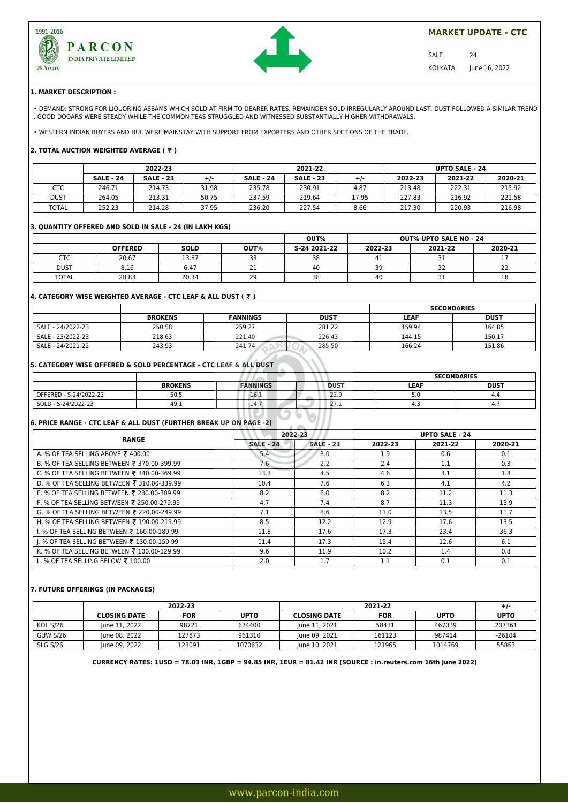



## **MARKET UPDATE - CTC**

SALE 24 KOLKATA June 16, 2022

#### **1. MARKET DESCRIPTION :**

• DEMAND: STRONG FOR LIQUORING ASSAMS WHICH SOLD AT FIRM TO DEARER RATES, REMAINDER SOLD IRREGULARLY AROUND LAST. DUST FOLLOWED A SIMILAR TREND . GOOD DOOARS WERE STEADY WHILE THE COMMON TEAS STRUGGLED AND WITNESSED SUBSTANTIALLY HIGHER WITHDRAWALS.

• WESTERN INDIAN BUYERS AND HUL WERE MAINSTAY WITH SUPPORT FROM EXPORTERS AND OTHER SECTIONS OF THE TRADE.

## **2. TOTAL AUCTION WEIGHTED AVERAGE ( ₹ )**

|              | 2022-23          |                  |       | 2021-22          |                  |       | <b>UPTO SALE - 24</b> |         |         |
|--------------|------------------|------------------|-------|------------------|------------------|-------|-----------------------|---------|---------|
|              | <b>SALE - 24</b> | <b>SALE - 23</b> | +/-   | <b>SALE - 24</b> | <b>SALE - 23</b> | +/-   | 2022-23               | 2021-22 | 2020-21 |
| CTC          | 246.71           | 214.73           | 31.98 | 235.78           | 230.91           | 4.87  | 213.48                | 222.31  | 215.92  |
| dust         | 264.05           | 213.31           | 50.75 | 237.59           | 219.64           | 17.95 | 227.83                | 216.92  | 221.58  |
| <b>TOTAL</b> | 252.23           | 214.28           | 37.95 | 236.20           | 227.54           | 8.66  | 217.30                | 220.93  | 216.98  |

#### **3. QUANTITY OFFERED AND SOLD IN SALE - 24 (IN LAKH KGS)**

|              |                |             | OUT%         | <b>OUT% UPTO SALE NO - 24</b> |         |               |              |
|--------------|----------------|-------------|--------------|-------------------------------|---------|---------------|--------------|
|              | <b>OFFERED</b> | <b>SOLD</b> | OUT%         | S-24 2021-22                  | 2022-23 | 2021-22       | 2020-21      |
| <b>CTC</b>   | 20.67          | 13.87       | $\sim$<br>-- | 38                            |         | --<br>⊥ ب     |              |
| <b>DUST</b>  | 8.16           | 6.47        | <b></b>      | 40                            | 39      | $\sim$<br>ے ر | $\sim$<br>__ |
| <b>TOTAL</b> | 28.83          | 20.34       | 20<br>ر ے    | 38                            | 40      | ⊥ ب           | 18           |

## **4. CATEGORY WISE WEIGHTED AVERAGE - CTC LEAF & ALL DUST ( ₹ )**

|                   |                |                 |             | <b>SECONDARIES</b> |             |  |
|-------------------|----------------|-----------------|-------------|--------------------|-------------|--|
|                   | <b>BROKENS</b> | <b>FANNINGS</b> | <b>DUST</b> | <b>LEAF</b>        | <b>DUST</b> |  |
| SALE - 24/2022-23 | 250.58         | 259.27          | 281.22      | 159.94             | 164.85      |  |
| SALE - 23/2022-23 | 218.63         | 221.40          | 226.43      | 144.15             | 150.17      |  |
| SALE - 24/2021-22 | 243.93         | 241.74          | 285.50      | 166.24             | 151.86      |  |

# **5. CATEGORY WISE OFFERED & SOLD PERCENTAGE - CTC LEAF & ALL DUST**

|                        |                | ______                 | <b>SECONDARIES</b>  |             |             |
|------------------------|----------------|------------------------|---------------------|-------------|-------------|
|                        | <b>BROKENS</b> | <b>FANNINGS</b>        | <b>DUST</b>         | <b>LEAF</b> | <b>DUST</b> |
| OFFERED - S-24/2022-23 | 50.5           | 16.1                   | 23.9                | ن ر         | 4.4         |
| SOLD - S-24/2022-23    | 49.1           | <b>L</b> +./<br>______ | $\sim$ $-$<br>2/1.1 | -           | ٠.,         |

# **6. PRICE RANGE - CTC LEAF & ALL DUST (FURTHER BREAK UP ON PAGE -2)**

| <b>RANGE</b>                                |                  | 2022-23          |         | <b>UPTO SALE - 24</b> |         |  |
|---------------------------------------------|------------------|------------------|---------|-----------------------|---------|--|
|                                             | <b>SALE - 24</b> | <b>SALE - 23</b> | 2022-23 | 2021-22               | 2020-21 |  |
| A. % OF TEA SELLING ABOVE ₹ 400.00          | 5.4              | 3.0              | 1.9     | 0.6                   | 0.1     |  |
| B. % OF TEA SELLING BETWEEN ₹ 370.00-399.99 | 7.6              | 2.2              | 2.4     | 1.1                   | 0.3     |  |
| C. % OF TEA SELLING BETWEEN ₹ 340.00-369.99 | 13.3             | 4.5              | 4.6     | 3.1                   | 1.8     |  |
| D. % OF TEA SELLING BETWEEN ₹ 310.00-339.99 | 10.4             | 7.6              | 6.3     | 4.1                   | 4.2     |  |
| E. % OF TEA SELLING BETWEEN ₹ 280.00-309.99 | 8.2              | 6.0              | 8.2     | 11.2                  | 11.3    |  |
| F. % OF TEA SELLING BETWEEN ₹ 250.00-279.99 | 4.7              | 7.4              | 8.7     | 11.3                  | 13.9    |  |
| G. % OF TEA SELLING BETWEEN ₹ 220.00-249.99 | 7.1              | 8.6              | 11.0    | 13.5                  | 11.7    |  |
| H. % OF TEA SELLING BETWEEN ₹ 190.00-219.99 | 8.5              | 12.2             | 12.9    | 17.6                  | 13.5    |  |
| I. % OF TEA SELLING BETWEEN ₹ 160.00-189.99 | 11.8             | 17.6             | 17.3    | 23.4                  | 36.3    |  |
| I. % OF TEA SELLING BETWEEN ₹ 130.00-159.99 | 11.4             | 17.3             | 15.4    | 12.6                  | 6.1     |  |
| K. % OF TEA SELLING BETWEEN ₹ 100.00-129.99 | 9.6              | 11.9             | 10.2    | 1.4                   | 0.8     |  |
| L. % OF TEA SELLING BELOW ₹ 100.00          | 2.0              | 1.7              | 1.1     | 0.1                   | 0.1     |  |

#### **7. FUTURE OFFERINGS (IN PACKAGES)**

|                 | 2022-23             |            |             |                     | $+/-$      |             |             |
|-----------------|---------------------|------------|-------------|---------------------|------------|-------------|-------------|
|                 | <b>CLOSING DATE</b> | <b>FOR</b> | <b>UPTO</b> | <b>CLOSING DATE</b> | <b>FOR</b> | <b>UPTO</b> | <b>UPTO</b> |
| <b>KOL S/26</b> | lune 11, 2022       | 98721      | 674400      | lune 11, 2021       | 58431      | 467039      | 207361      |
| <b>GUW S/26</b> | lune 08, 2022       | 127873     | 961310      | lune 09, 2021       | 161123     | 987414      | $-26104$    |
| <b>SLG S/26</b> | lune 09, 2022       | 123091     | 1070632     | June 10, 2021       | 121965     | 1014769     | 55863       |

**CURRENCY RATES: 1USD = 78.03 INR, 1GBP = 94.85 INR, 1EUR = 81.42 INR (SOURCE : in.reuters.com 16th June 2022)**